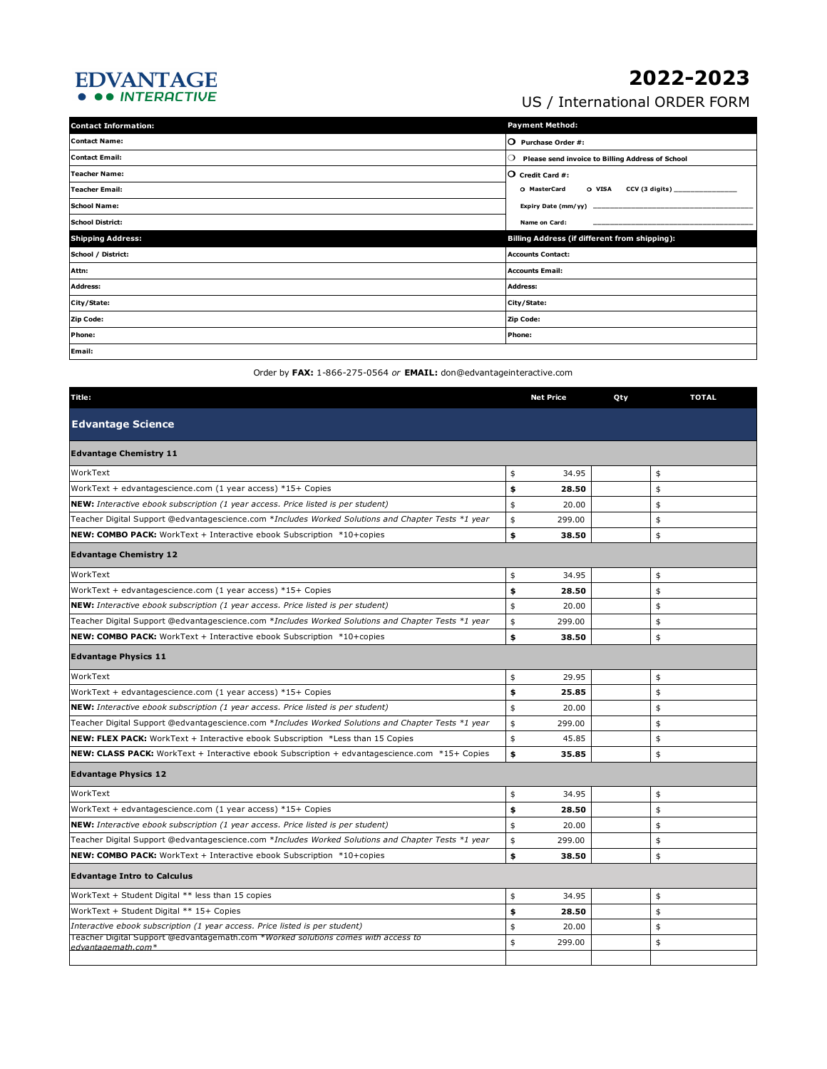## EDVANTAGE<br>• •• INTERACTIVE

## **2022-2023**

US / International ORDER FORM

| <b>Contact Information:</b> | <b>Payment Method:</b>                                      |  |  |  |
|-----------------------------|-------------------------------------------------------------|--|--|--|
| <b>Contact Name:</b>        | $\overline{O}$ Purchase Order #:                            |  |  |  |
| <b>Contact Email:</b>       | Please send invoice to Billing Address of School<br>$\circ$ |  |  |  |
| <b>Teacher Name:</b>        | $\mathsf O$ Credit Card #:                                  |  |  |  |
| Teacher Email:              | O VISA CCV (3 digits) _____________<br>O MasterCard         |  |  |  |
| <b>School Name:</b>         |                                                             |  |  |  |
| <b>School District:</b>     | Name on Card:                                               |  |  |  |
| <b>Shipping Address:</b>    | Billing Address (if different from shipping):               |  |  |  |
| School / District:          | <b>Accounts Contact:</b>                                    |  |  |  |
| Attn:                       | <b>Accounts Email:</b>                                      |  |  |  |
| <b>Address:</b>             | <b>Address:</b>                                             |  |  |  |
| City/State:                 | City/State:                                                 |  |  |  |
| <b>Zip Code:</b>            | Zip Code:                                                   |  |  |  |
| Phone:                      | Phone:                                                      |  |  |  |
| Email:                      |                                                             |  |  |  |

Order by **FAX:** 1-866-275-0564 *or* **EMAIL:** don@edvantageinteractive.com

| Title:                                                                                                  |    | <b>Net Price</b> | Qty | <b>TOTAL</b> |  |  |  |
|---------------------------------------------------------------------------------------------------------|----|------------------|-----|--------------|--|--|--|
| <b>Edvantage Science</b>                                                                                |    |                  |     |              |  |  |  |
| <b>Edvantage Chemistry 11</b>                                                                           |    |                  |     |              |  |  |  |
| WorkText                                                                                                | \$ | 34.95            |     | \$           |  |  |  |
| WorkText + edvantagescience.com (1 year access) *15+ Copies                                             | \$ | 28.50            |     | \$           |  |  |  |
| <b>NEW:</b> Interactive ebook subscription (1 year access. Price listed is per student)                 | \$ | 20.00            |     | \$           |  |  |  |
| Teacher Digital Support @edvantagescience.com *Includes Worked Solutions and Chapter Tests *1 year      | \$ | 299.00           |     | \$           |  |  |  |
| <b>NEW: COMBO PACK:</b> WorkText + Interactive ebook Subscription *10+copies                            | \$ | 38.50            |     | \$           |  |  |  |
| <b>Edvantage Chemistry 12</b>                                                                           |    |                  |     |              |  |  |  |
| WorkText                                                                                                | \$ | 34.95            |     | \$           |  |  |  |
| WorkText + edvantagescience.com (1 year access) $*15+$ Copies                                           | \$ | 28.50            |     | \$           |  |  |  |
| <b>NEW:</b> Interactive ebook subscription (1 year access. Price listed is per student)                 | \$ | 20.00            |     | \$           |  |  |  |
| Teacher Digital Support @edvantagescience.com *Includes Worked Solutions and Chapter Tests *1 year      | \$ | 299.00           |     | \$           |  |  |  |
| <b>NEW: COMBO PACK:</b> WorkText + Interactive ebook Subscription *10+copies                            | \$ | 38.50            |     | \$           |  |  |  |
| <b>Edvantage Physics 11</b>                                                                             |    |                  |     |              |  |  |  |
| WorkText                                                                                                | \$ | 29.95            |     | \$           |  |  |  |
| WorkText + edvantagescience.com (1 year access) $*15+$ Copies                                           | \$ | 25.85            |     | \$           |  |  |  |
| <b>NEW:</b> Interactive ebook subscription (1 year access. Price listed is per student)                 | \$ | 20.00            |     | \$           |  |  |  |
| Teacher Digital Support @edvantagescience.com *Includes Worked Solutions and Chapter Tests *1 year      | \$ | 299.00           |     | \$           |  |  |  |
| <b>NEW: FLEX PACK:</b> WorkText + Interactive ebook Subscription *Less than 15 Copies                   | \$ | 45.85            |     | \$           |  |  |  |
| <b>NEW: CLASS PACK:</b> WorkText + Interactive ebook Subscription + edvantagescience.com *15+ Copies    | \$ | 35.85            |     | \$           |  |  |  |
| <b>Edvantage Physics 12</b>                                                                             |    |                  |     |              |  |  |  |
| WorkText                                                                                                | \$ | 34.95            |     | \$           |  |  |  |
| WorkText + edvantagescience.com (1 year access) *15+ Copies                                             | \$ | 28.50            |     | \$           |  |  |  |
| <b>NEW:</b> Interactive ebook subscription (1 year access. Price listed is per student)                 | \$ | 20.00            |     | \$           |  |  |  |
| Teacher Digital Support @edvantagescience.com *Includes Worked Solutions and Chapter Tests *1 year      | \$ | 299.00           |     | \$           |  |  |  |
| <b>NEW: COMBO PACK:</b> WorkText + Interactive ebook Subscription *10+copies                            | \$ | 38.50            |     | \$           |  |  |  |
| <b>Edvantage Intro to Calculus</b>                                                                      |    |                  |     |              |  |  |  |
| WorkText + Student Digital ** less than 15 copies                                                       | \$ | 34.95            |     | \$           |  |  |  |
| WorkText + Student Digital ** 15+ Copies                                                                | \$ | 28.50            |     | \$           |  |  |  |
| Interactive ebook subscription (1 year access. Price listed is per student)                             | \$ | 20.00            |     | \$           |  |  |  |
| Teacher Digital Support @edvantagemath.com *Worked solutions comes with access to<br>edvantagemath.com* | \$ | 299.00           |     | \$           |  |  |  |
|                                                                                                         |    |                  |     |              |  |  |  |